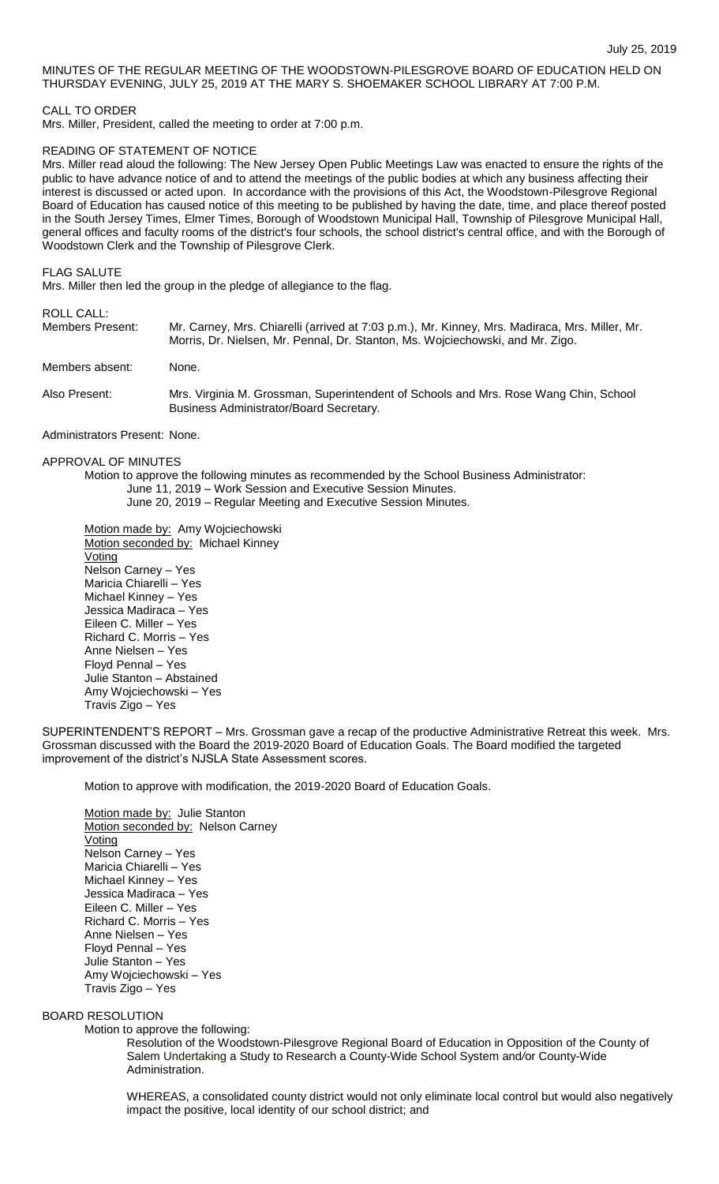## MINUTES OF THE REGULAR MEETING OF THE WOODSTOWN-PILESGROVE BOARD OF EDUCATION HELD ON THURSDAY EVENING, JULY 25, 2019 AT THE MARY S. SHOEMAKER SCHOOL LIBRARY AT 7:00 P.M.

## CALL TO ORDER

Mrs. Miller, President, called the meeting to order at 7:00 p.m.

## READING OF STATEMENT OF NOTICE

Mrs. Miller read aloud the following: The New Jersey Open Public Meetings Law was enacted to ensure the rights of the public to have advance notice of and to attend the meetings of the public bodies at which any business affecting their interest is discussed or acted upon. In accordance with the provisions of this Act, the Woodstown-Pilesgrove Regional Board of Education has caused notice of this meeting to be published by having the date, time, and place thereof posted in the South Jersey Times, Elmer Times, Borough of Woodstown Municipal Hall, Township of Pilesgrove Municipal Hall, general offices and faculty rooms of the district's four schools, the school district's central office, and with the Borough of Woodstown Clerk and the Township of Pilesgrove Clerk.

FLAG SALUTE

Mrs. Miller then led the group in the pledge of allegiance to the flag.

# ROLL CALL:

| Members Present:              | Mr. Carney, Mrs. Chiarelli (arrived at 7:03 p.m.), Mr. Kinney, Mrs. Madiraca, Mrs. Miller, Mr.<br>Morris, Dr. Nielsen, Mr. Pennal, Dr. Stanton, Ms. Wojciechowski, and Mr. Zigo. |  |  |  |
|-------------------------------|----------------------------------------------------------------------------------------------------------------------------------------------------------------------------------|--|--|--|
| Members absent:               | None.                                                                                                                                                                            |  |  |  |
| Also Present:                 | Mrs. Virginia M. Grossman, Superintendent of Schools and Mrs. Rose Wang Chin, School<br>Business Administrator/Board Secretary.                                                  |  |  |  |
| Administrators Present: None. |                                                                                                                                                                                  |  |  |  |

APPROVAL OF MINUTES

Motion to approve the following minutes as recommended by the School Business Administrator: June 11, 2019 – Work Session and Executive Session Minutes. June 20, 2019 – Regular Meeting and Executive Session Minutes.

Motion made by: Amy Wojciechowski Motion seconded by: Michael Kinney Voting Nelson Carney – Yes Maricia Chiarelli – Yes Michael Kinney – Yes Jessica Madiraca – Yes Eileen C. Miller – Yes Richard C. Morris – Yes Anne Nielsen – Yes Floyd Pennal – Yes Julie Stanton – Abstained Amy Wojciechowski – Yes Travis Zigo – Yes

SUPERINTENDENT'S REPORT – Mrs. Grossman gave a recap of the productive Administrative Retreat this week. Mrs. Grossman discussed with the Board the 2019-2020 Board of Education Goals. The Board modified the targeted improvement of the district's NJSLA State Assessment scores.

Motion to approve with modification, the 2019-2020 Board of Education Goals.

Motion made by: Julie Stanton Motion seconded by: Nelson Carney Voting Nelson Carney – Yes Maricia Chiarelli – Yes Michael Kinney – Yes Jessica Madiraca – Yes Eileen C. Miller – Yes Richard C. Morris – Yes Anne Nielsen – Yes Floyd Pennal – Yes Julie Stanton – Yes Amy Wojciechowski – Yes Travis Zigo – Yes

# BOARD RESOLUTION

Motion to approve the following:

Resolution of the Woodstown-Pilesgrove Regional Board of Education in Opposition of the County of Salem Undertaking a Study to Research a County-Wide School System and*/*or County-Wide Administration.

WHEREAS, a consolidated county district would not only eliminate local control but would also negatively impact the positive, local identity of our school district; and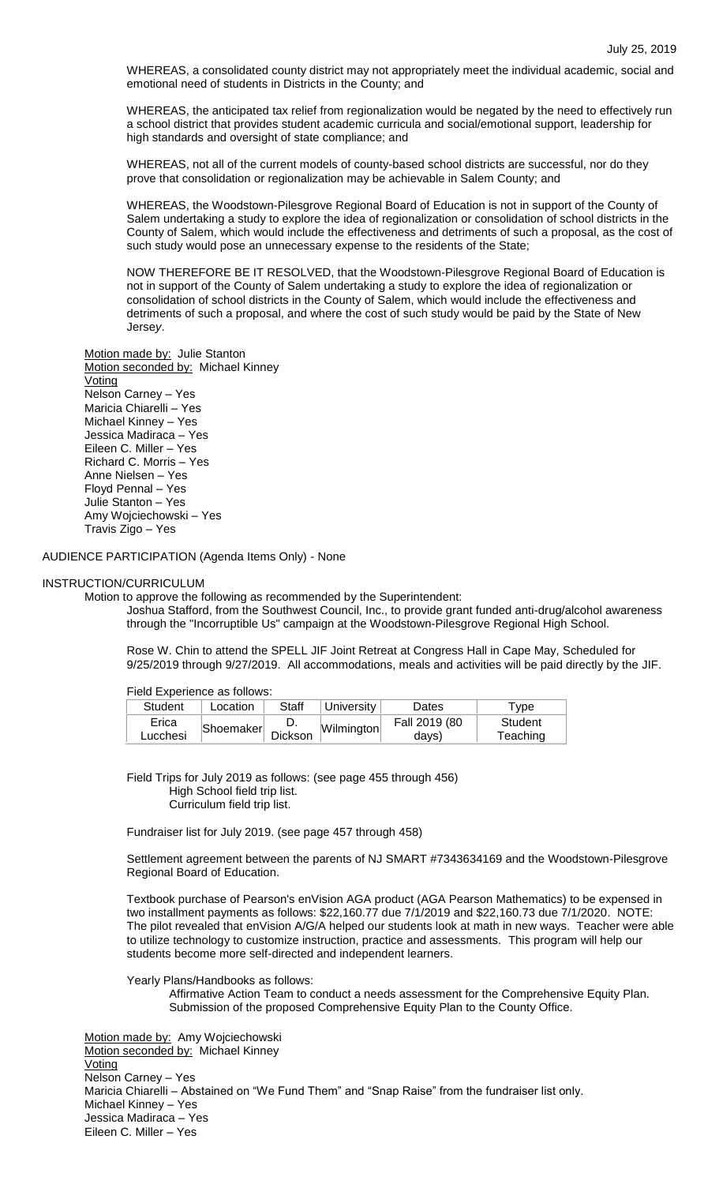WHEREAS, a consolidated county district may not appropriately meet the individual academic, social and emotional need of students in Districts in the County; and

WHEREAS, the anticipated tax relief from regionalization would be negated by the need to effectively run a school district that provides student academic curricula and social/emotional support, leadership for high standards and oversight of state compliance; and

WHEREAS, not all of the current models of county-based school districts are successful, nor do they prove that consolidation or regionalization may be achievable in Salem County; and

WHEREAS, the Woodstown-Pilesgrove Regional Board of Education is not in support of the County of Salem undertaking a study to explore the idea of regionalization or consolidation of school districts in the County of Salem, which would include the effectiveness and detriments of such a proposal, as the cost of such study would pose an unnecessary expense to the residents of the State;

NOW THEREFORE BE IT RESOLVED, that the Woodstown-Pilesgrove Regional Board of Education is not in support of the County of Salem undertaking a study to explore the idea of regionalization or consolidation of school districts in the County of Salem, which would include the effectiveness and detriments of such a proposal, and where the cost of such study would be paid by the State of New Jerse*y*.

Motion made by: Julie Stanton Motion seconded by: Michael Kinney **Voting** Nelson Carney – Yes Maricia Chiarelli – Yes Michael Kinney – Yes Jessica Madiraca – Yes Eileen C. Miller – Yes Richard C. Morris – Yes Anne Nielsen – Yes Floyd Pennal – Yes Julie Stanton – Yes Amy Wojciechowski – Yes Travis Zigo – Yes

AUDIENCE PARTICIPATION (Agenda Items Only) - None

#### INSTRUCTION/CURRICULUM

Motion to approve the following as recommended by the Superintendent:

Joshua Stafford, from the Southwest Council, Inc., to provide grant funded anti-drug/alcohol awareness through the "Incorruptible Us" campaign at the Woodstown-Pilesgrove Regional High School.

Rose W. Chin to attend the SPELL JIF Joint Retreat at Congress Hall in Cape May, Scheduled for 9/25/2019 through 9/27/2019. All accommodations, meals and activities will be paid directly by the JIF.

Field Experience as follows:

| Student  | Location  | Staff   | University | Dates         | <b>vpe</b> |
|----------|-----------|---------|------------|---------------|------------|
| Erica    | Shoemaker |         | Wilmington | Fall 2019 (80 | Student    |
| Lucchesi |           | Dickson |            | days)         | Teaching   |

Field Trips for July 2019 as follows: (see page 455 through 456) High School field trip list. Curriculum field trip list.

Fundraiser list for July 2019. (see page 457 through 458)

Settlement agreement between the parents of NJ SMART #7343634169 and the Woodstown-Pilesgrove Regional Board of Education.

Textbook purchase of Pearson's enVision AGA product (AGA Pearson Mathematics) to be expensed in two installment payments as follows: \$22,160.77 due 7/1/2019 and \$22,160.73 due 7/1/2020. NOTE: The pilot revealed that enVision A/G/A helped our students look at math in new ways. Teacher were able to utilize technology to customize instruction, practice and assessments. This program will help our students become more self-directed and independent learners.

Yearly Plans/Handbooks as follows:

Affirmative Action Team to conduct a needs assessment for the Comprehensive Equity Plan. Submission of the proposed Comprehensive Equity Plan to the County Office.

Motion made by: Amy Wojciechowski Motion seconded by: Michael Kinney Voting Nelson Carney – Yes Maricia Chiarelli – Abstained on "We Fund Them" and "Snap Raise" from the fundraiser list only. Michael Kinney – Yes Jessica Madiraca – Yes Eileen C. Miller – Yes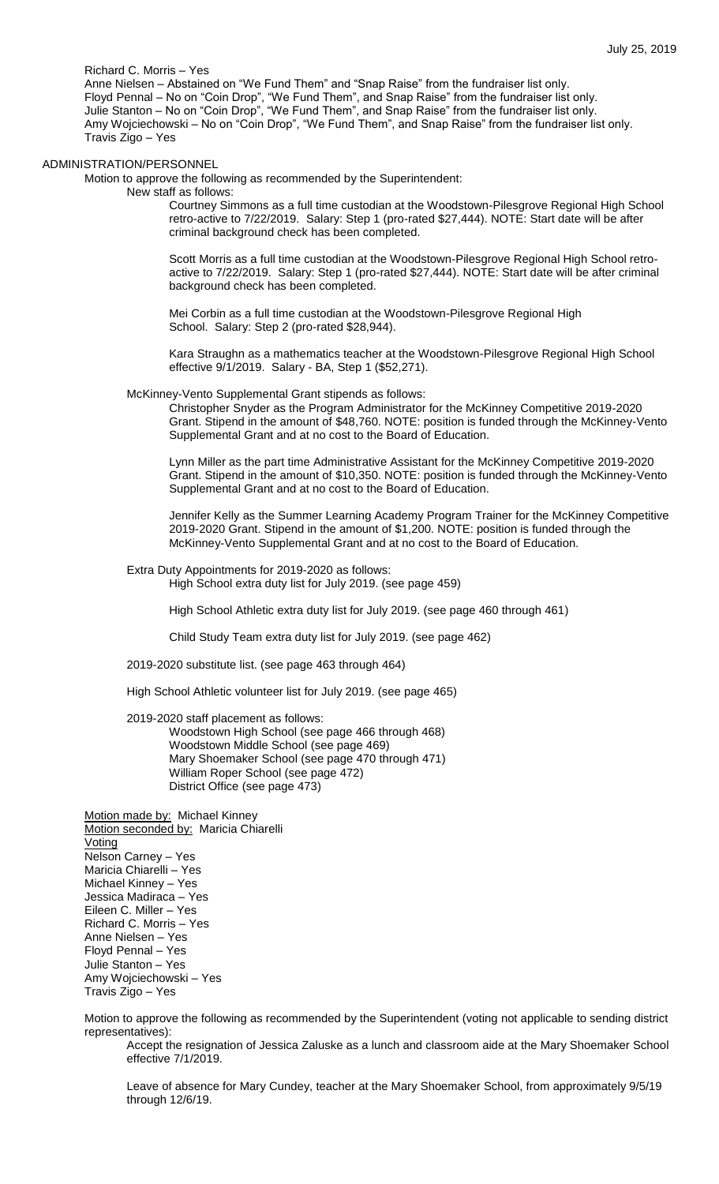Richard C. Morris – Yes

Anne Nielsen – Abstained on "We Fund Them" and "Snap Raise" from the fundraiser list only. Floyd Pennal – No on "Coin Drop", "We Fund Them", and Snap Raise" from the fundraiser list only. Julie Stanton – No on "Coin Drop", "We Fund Them", and Snap Raise" from the fundraiser list only. Amy Wojciechowski – No on "Coin Drop", "We Fund Them", and Snap Raise" from the fundraiser list only. Travis Zigo – Yes

#### ADMINISTRATION/PERSONNEL

Motion to approve the following as recommended by the Superintendent:

New staff as follows:

Courtney Simmons as a full time custodian at the Woodstown-Pilesgrove Regional High School retro-active to 7/22/2019. Salary: Step 1 (pro-rated \$27,444). NOTE: Start date will be after criminal background check has been completed.

Scott Morris as a full time custodian at the Woodstown-Pilesgrove Regional High School retroactive to 7/22/2019. Salary: Step 1 (pro-rated \$27,444). NOTE: Start date will be after criminal background check has been completed.

Mei Corbin as a full time custodian at the Woodstown-Pilesgrove Regional High School. Salary: Step 2 (pro-rated \$28,944).

Kara Straughn as a mathematics teacher at the Woodstown-Pilesgrove Regional High School effective 9/1/2019. Salary - BA, Step 1 (\$52,271).

McKinney-Vento Supplemental Grant stipends as follows:

Christopher Snyder as the Program Administrator for the McKinney Competitive 2019-2020 Grant. Stipend in the amount of \$48,760. NOTE: position is funded through the McKinney-Vento Supplemental Grant and at no cost to the Board of Education.

Lynn Miller as the part time Administrative Assistant for the McKinney Competitive 2019-2020 Grant. Stipend in the amount of \$10,350. NOTE: position is funded through the McKinney-Vento Supplemental Grant and at no cost to the Board of Education.

Jennifer Kelly as the Summer Learning Academy Program Trainer for the McKinney Competitive 2019-2020 Grant. Stipend in the amount of \$1,200. NOTE: position is funded through the McKinney-Vento Supplemental Grant and at no cost to the Board of Education.

# Extra Duty Appointments for 2019-2020 as follows:

High School extra duty list for July 2019. (see page 459)

High School Athletic extra duty list for July 2019. (see page 460 through 461)

Child Study Team extra duty list for July 2019. (see page 462)

2019-2020 substitute list. (see page 463 through 464)

High School Athletic volunteer list for July 2019. (see page 465)

2019-2020 staff placement as follows: Woodstown High School (see page 466 through 468) Woodstown Middle School (see page 469) Mary Shoemaker School (see page 470 through 471) William Roper School (see page 472) District Office (see page 473)

Motion made by: Michael Kinney Motion seconded by: Maricia Chiarelli Voting Nelson Carney – Yes Maricia Chiarelli – Yes Michael Kinney – Yes Jessica Madiraca – Yes Eileen C. Miller – Yes Richard C. Morris – Yes Anne Nielsen – Yes Floyd Pennal – Yes Julie Stanton – Yes Amy Wojciechowski – Yes Travis Zigo – Yes

Motion to approve the following as recommended by the Superintendent (voting not applicable to sending district representatives):

Accept the resignation of Jessica Zaluske as a lunch and classroom aide at the Mary Shoemaker School effective 7/1/2019.

Leave of absence for Mary Cundey, teacher at the Mary Shoemaker School, from approximately 9/5/19 through 12/6/19.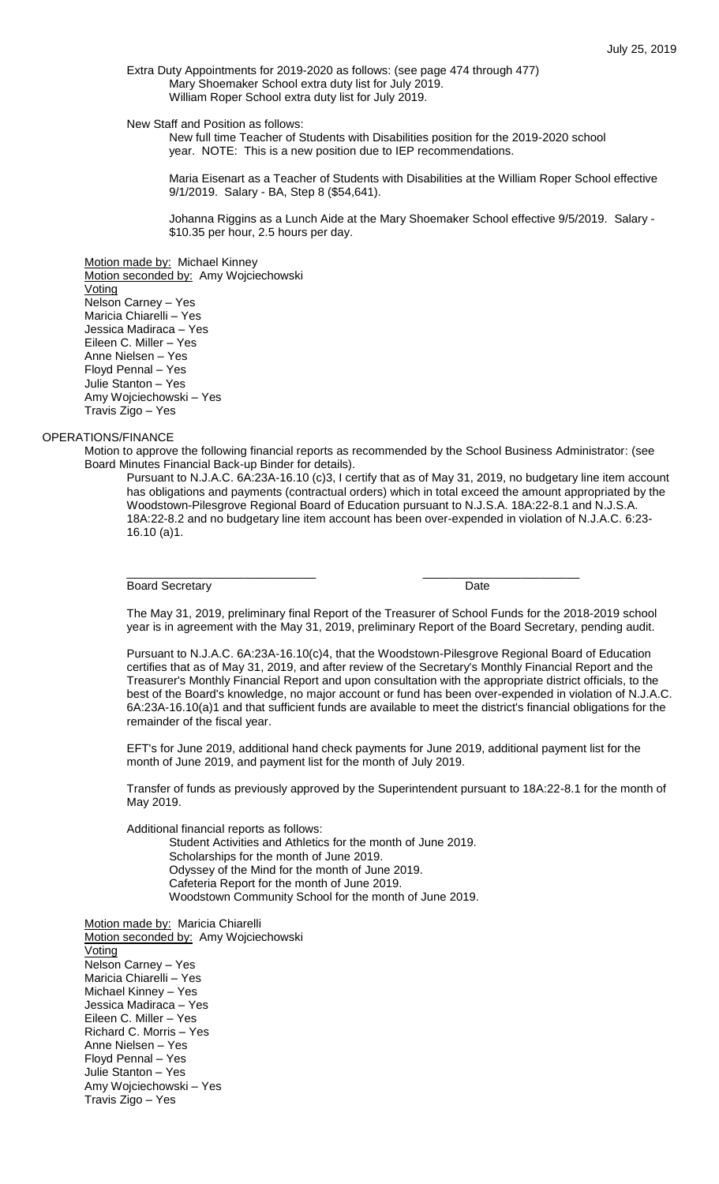Extra Duty Appointments for 2019-2020 as follows: (see page 474 through 477) Mary Shoemaker School extra duty list for July 2019. William Roper School extra duty list for July 2019.

New Staff and Position as follows:

New full time Teacher of Students with Disabilities position for the 2019-2020 school year. NOTE: This is a new position due to IEP recommendations.

Maria Eisenart as a Teacher of Students with Disabilities at the William Roper School effective 9/1/2019. Salary - BA, Step 8 (\$54,641).

Johanna Riggins as a Lunch Aide at the Mary Shoemaker School effective 9/5/2019. Salary - \$10.35 per hour, 2.5 hours per day.

Motion made by: Michael Kinney

Motion seconded by: Amy Wojciechowski Voting Nelson Carney – Yes Maricia Chiarelli – Yes Jessica Madiraca – Yes Eileen C. Miller – Yes Anne Nielsen – Yes Floyd Pennal – Yes Julie Stanton – Yes Amy Wojciechowski – Yes Travis Zigo – Yes

#### OPERATIONS/FINANCE

Motion to approve the following financial reports as recommended by the School Business Administrator: (see Board Minutes Financial Back-up Binder for details).

\_\_\_\_\_\_\_\_\_\_\_\_\_\_\_\_\_\_\_\_\_\_\_\_\_\_\_\_\_ \_\_\_\_\_\_\_\_\_\_\_\_\_\_\_\_\_\_\_\_\_\_\_\_

Pursuant to N.J.A.C. 6A:23A-16.10 (c)3, I certify that as of May 31, 2019, no budgetary line item account has obligations and payments (contractual orders) which in total exceed the amount appropriated by the Woodstown-Pilesgrove Regional Board of Education pursuant to N.J.S.A. 18A:22-8.1 and N.J.S.A. 18A:22-8.2 and no budgetary line item account has been over-expended in violation of N.J.A.C. 6:23- 16.10 (a)1.

Board Secretary **Date** 

The May 31, 2019, preliminary final Report of the Treasurer of School Funds for the 2018-2019 school year is in agreement with the May 31, 2019, preliminary Report of the Board Secretary, pending audit.

Pursuant to N.J.A.C. 6A:23A-16.10(c)4, that the Woodstown-Pilesgrove Regional Board of Education certifies that as of May 31, 2019, and after review of the Secretary's Monthly Financial Report and the Treasurer's Monthly Financial Report and upon consultation with the appropriate district officials, to the best of the Board's knowledge, no major account or fund has been over-expended in violation of N.J.A.C. 6A:23A-16.10(a)1 and that sufficient funds are available to meet the district's financial obligations for the remainder of the fiscal year.

EFT's for June 2019, additional hand check payments for June 2019, additional payment list for the month of June 2019, and payment list for the month of July 2019.

Transfer of funds as previously approved by the Superintendent pursuant to 18A:22-8.1 for the month of May 2019.

Additional financial reports as follows:

Student Activities and Athletics for the month of June 2019. Scholarships for the month of June 2019. Odyssey of the Mind for the month of June 2019.

Cafeteria Report for the month of June 2019.

Woodstown Community School for the month of June 2019.

Motion made by: Maricia Chiarelli Motion seconded by: Amy Wojciechowski **Voting** Nelson Carney – Yes Maricia Chiarelli – Yes Michael Kinney – Yes Jessica Madiraca – Yes Eileen C. Miller – Yes Richard C. Morris – Yes Anne Nielsen – Yes Floyd Pennal – Yes Julie Stanton – Yes Amy Wojciechowski – Yes Travis Zigo – Yes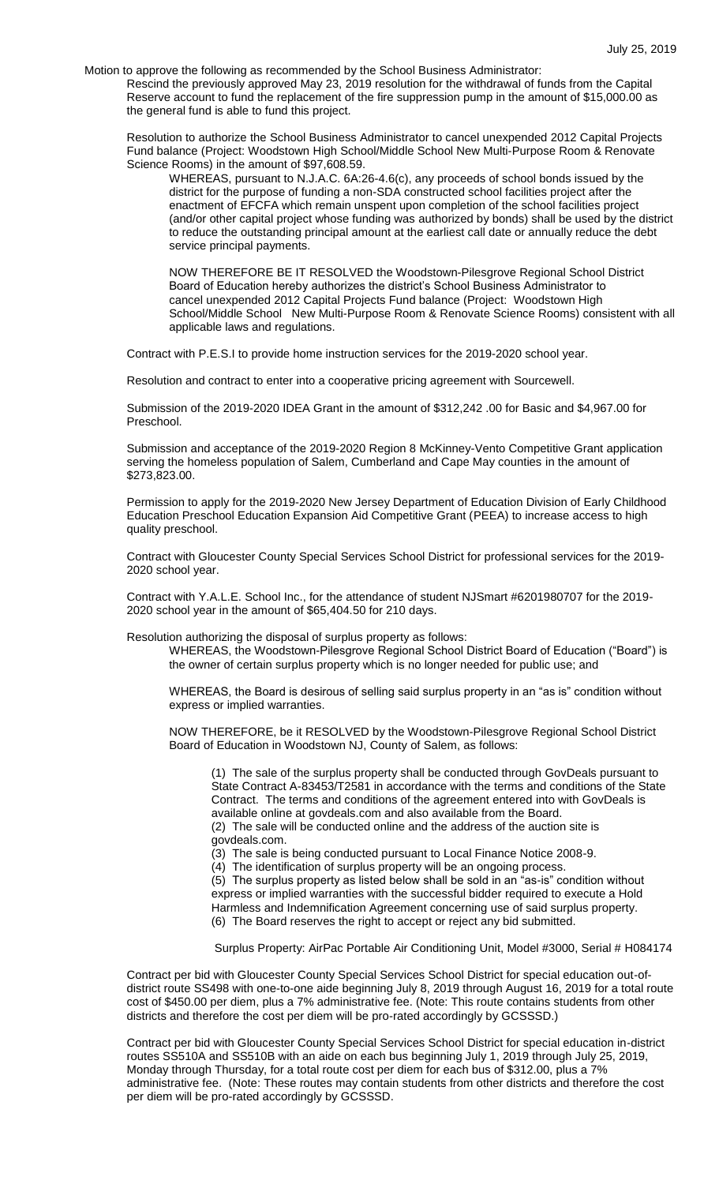Motion to approve the following as recommended by the School Business Administrator:

Rescind the previously approved May 23, 2019 resolution for the withdrawal of funds from the Capital Reserve account to fund the replacement of the fire suppression pump in the amount of \$15,000.00 as the general fund is able to fund this project.

Resolution to authorize the School Business Administrator to cancel unexpended 2012 Capital Projects Fund balance (Project: Woodstown High School/Middle School New Multi-Purpose Room & Renovate Science Rooms) in the amount of \$97,608.59.

WHEREAS, pursuant to N.J.A.C. 6A:26-4.6(c), any proceeds of school bonds issued by the district for the purpose of funding a non-SDA constructed school facilities project after the enactment of EFCFA which remain unspent upon completion of the school facilities project (and/or other capital project whose funding was authorized by bonds) shall be used by the district to reduce the outstanding principal amount at the earliest call date or annually reduce the debt service principal payments.

NOW THEREFORE BE IT RESOLVED the Woodstown-Pilesgrove Regional School District Board of Education hereby authorizes the district's School Business Administrator to cancel unexpended 2012 Capital Projects Fund balance (Project: Woodstown High School/Middle School New Multi-Purpose Room & Renovate Science Rooms) consistent with all applicable laws and regulations.

Contract with P.E.S.I to provide home instruction services for the 2019-2020 school year.

Resolution and contract to enter into a cooperative pricing agreement with Sourcewell.

Submission of the 2019-2020 IDEA Grant in the amount of \$312,242 .00 for Basic and \$4,967.00 for Preschool.

Submission and acceptance of the 2019-2020 Region 8 McKinney-Vento Competitive Grant application serving the homeless population of Salem, Cumberland and Cape May counties in the amount of \$273,823.00.

Permission to apply for the 2019-2020 New Jersey Department of Education Division of Early Childhood Education Preschool Education Expansion Aid Competitive Grant (PEEA) to increase access to high quality preschool.

Contract with Gloucester County Special Services School District for professional services for the 2019- 2020 school year.

Contract with Y.A.L.E. School Inc., for the attendance of student NJSmart #6201980707 for the 2019- 2020 school year in the amount of \$65,404.50 for 210 days.

Resolution authorizing the disposal of surplus property as follows:

WHEREAS, the Woodstown-Pilesgrove Regional School District Board of Education ("Board") is the owner of certain surplus property which is no longer needed for public use; and

WHEREAS, the Board is desirous of selling said surplus property in an "as is" condition without express or implied warranties.

NOW THEREFORE, be it RESOLVED by the Woodstown-Pilesgrove Regional School District Board of Education in Woodstown NJ, County of Salem, as follows:

(1) The sale of the surplus property shall be conducted through GovDeals pursuant to State Contract A-83453/T2581 in accordance with the terms and conditions of the State Contract. The terms and conditions of the agreement entered into with GovDeals is available online at govdeals.com and also available from the Board.

(2) The sale will be conducted online and the address of the auction site is govdeals.com.

(3) The sale is being conducted pursuant to Local Finance Notice 2008-9.

(4) The identification of surplus property will be an ongoing process.

(5) The surplus property as listed below shall be sold in an "as-is" condition without express or implied warranties with the successful bidder required to execute a Hold Harmless and Indemnification Agreement concerning use of said surplus property. (6) The Board reserves the right to accept or reject any bid submitted.

Surplus Property: AirPac Portable Air Conditioning Unit, Model #3000, Serial # H084174

Contract per bid with Gloucester County Special Services School District for special education out-ofdistrict route SS498 with one-to-one aide beginning July 8, 2019 through August 16, 2019 for a total route cost of \$450.00 per diem, plus a 7% administrative fee. (Note: This route contains students from other districts and therefore the cost per diem will be pro-rated accordingly by GCSSSD.)

Contract per bid with Gloucester County Special Services School District for special education in-district routes SS510A and SS510B with an aide on each bus beginning July 1, 2019 through July 25, 2019, Monday through Thursday, for a total route cost per diem for each bus of \$312.00, plus a 7% administrative fee. (Note: These routes may contain students from other districts and therefore the cost per diem will be pro-rated accordingly by GCSSSD.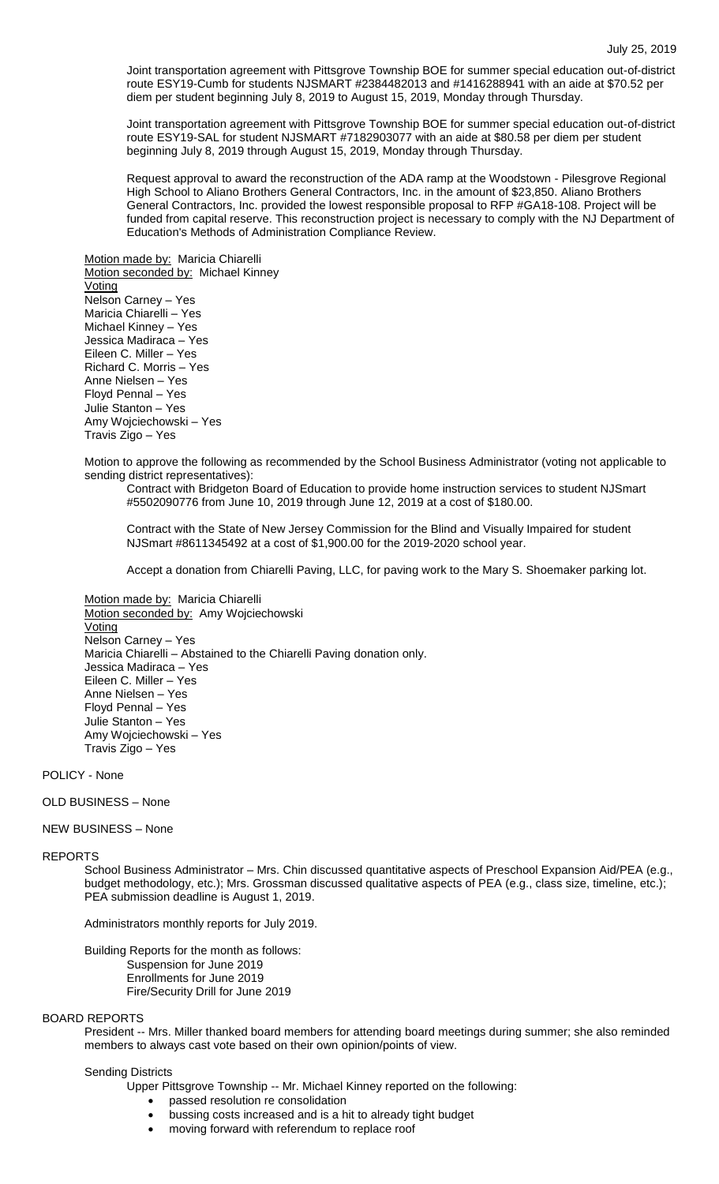Joint transportation agreement with Pittsgrove Township BOE for summer special education out-of-district route ESY19-Cumb for students NJSMART #2384482013 and #1416288941 with an aide at \$70.52 per diem per student beginning July 8, 2019 to August 15, 2019, Monday through Thursday.

Joint transportation agreement with Pittsgrove Township BOE for summer special education out-of-district route ESY19-SAL for student NJSMART #7182903077 with an aide at \$80.58 per diem per student beginning July 8, 2019 through August 15, 2019, Monday through Thursday.

Request approval to award the reconstruction of the ADA ramp at the Woodstown - Pilesgrove Regional High School to Aliano Brothers General Contractors, Inc. in the amount of \$23,850. Aliano Brothers General Contractors, Inc. provided the lowest responsible proposal to RFP #GA18-108. Project will be funded from capital reserve. This reconstruction project is necessary to comply with the NJ Department of Education's Methods of Administration Compliance Review.

Motion made by: Maricia Chiarelli Motion seconded by: Michael Kinney Voting Nelson Carney – Yes Maricia Chiarelli – Yes Michael Kinney – Yes Jessica Madiraca – Yes Eileen C. Miller – Yes Richard C. Morris – Yes Anne Nielsen – Yes Floyd Pennal – Yes Julie Stanton – Yes Amy Wojciechowski – Yes Travis Zigo – Yes

Motion to approve the following as recommended by the School Business Administrator (voting not applicable to sending district representatives):

Contract with Bridgeton Board of Education to provide home instruction services to student NJSmart #5502090776 from June 10, 2019 through June 12, 2019 at a cost of \$180.00.

Contract with the State of New Jersey Commission for the Blind and Visually Impaired for student NJSmart #8611345492 at a cost of \$1,900.00 for the 2019-2020 school year.

Accept a donation from Chiarelli Paving, LLC, for paving work to the Mary S. Shoemaker parking lot.

Motion made by: Maricia Chiarelli Motion seconded by: Amy Wojciechowski **Voting** Nelson Carney – Yes Maricia Chiarelli – Abstained to the Chiarelli Paving donation only. Jessica Madiraca – Yes Eileen C. Miller – Yes Anne Nielsen – Yes Floyd Pennal – Yes Julie Stanton – Yes Amy Wojciechowski – Yes Travis Zigo – Yes

POLICY - None

## OLD BUSINESS – None

#### NEW BUSINESS – None

#### REPORTS

School Business Administrator – Mrs. Chin discussed quantitative aspects of Preschool Expansion Aid/PEA (e.g., budget methodology, etc.); Mrs. Grossman discussed qualitative aspects of PEA (e.g., class size, timeline, etc.); PEA submission deadline is August 1, 2019.

Administrators monthly reports for July 2019.

Building Reports for the month as follows: Suspension for June 2019 Enrollments for June 2019 Fire/Security Drill for June 2019

## BOARD REPORTS

President -- Mrs. Miller thanked board members for attending board meetings during summer; she also reminded members to always cast vote based on their own opinion/points of view.

#### Sending Districts

Upper Pittsgrove Township -- Mr. Michael Kinney reported on the following:

- passed resolution re consolidation
- bussing costs increased and is a hit to already tight budget
- moving forward with referendum to replace roof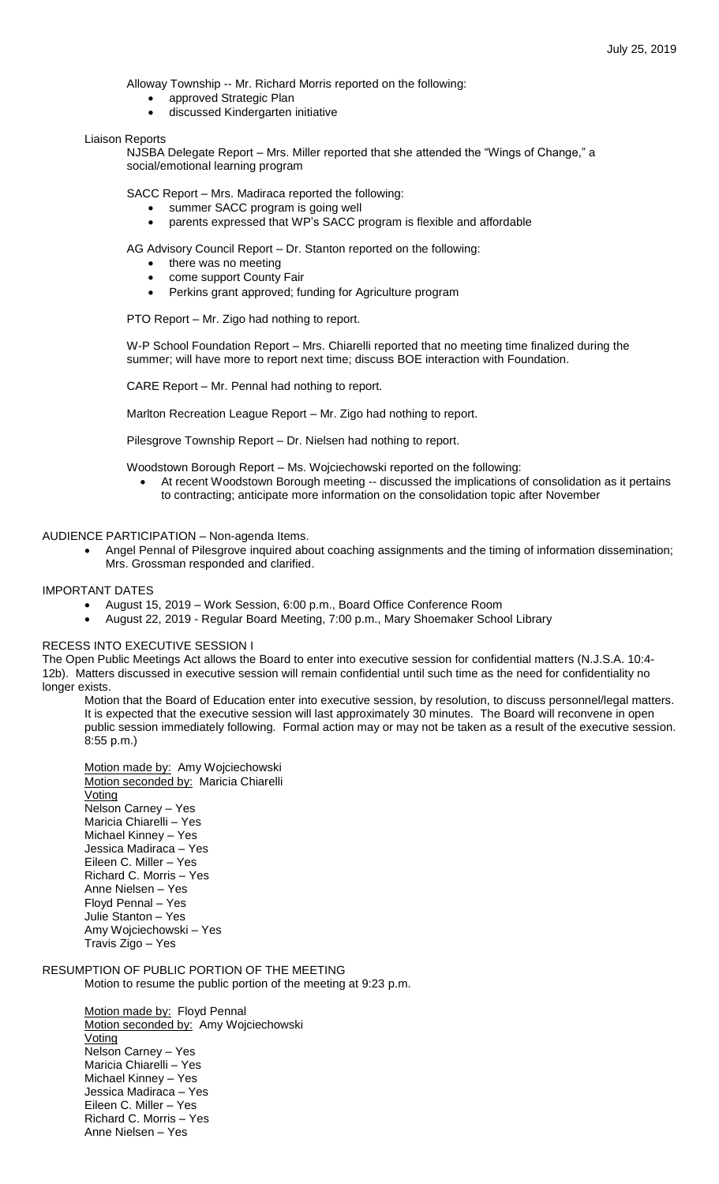Alloway Township -- Mr. Richard Morris reported on the following:

- approved Strategic Plan
- discussed Kindergarten initiative

#### Liaison Reports

NJSBA Delegate Report – Mrs. Miller reported that she attended the "Wings of Change," a social/emotional learning program

SACC Report – Mrs. Madiraca reported the following:

- summer SACC program is going well
- parents expressed that WP's SACC program is flexible and affordable

AG Advisory Council Report – Dr. Stanton reported on the following:

- there was no meeting
- come support County Fair
- Perkins grant approved; funding for Agriculture program

PTO Report – Mr. Zigo had nothing to report.

W-P School Foundation Report – Mrs. Chiarelli reported that no meeting time finalized during the summer; will have more to report next time; discuss BOE interaction with Foundation.

CARE Report – Mr. Pennal had nothing to report.

Marlton Recreation League Report – Mr. Zigo had nothing to report.

Pilesgrove Township Report – Dr. Nielsen had nothing to report.

Woodstown Borough Report – Ms. Wojciechowski reported on the following:

 At recent Woodstown Borough meeting -- discussed the implications of consolidation as it pertains to contracting; anticipate more information on the consolidation topic after November

### AUDIENCE PARTICIPATION – Non-agenda Items.

 Angel Pennal of Pilesgrove inquired about coaching assignments and the timing of information dissemination; Mrs. Grossman responded and clarified.

### IMPORTANT DATES

- August 15, 2019 Work Session, 6:00 p.m., Board Office Conference Room
	- August 22, 2019 Regular Board Meeting, 7:00 p.m., Mary Shoemaker School Library

## RECESS INTO EXECUTIVE SESSION I

The Open Public Meetings Act allows the Board to enter into executive session for confidential matters (N.J.S.A. 10:4- 12b). Matters discussed in executive session will remain confidential until such time as the need for confidentiality no longer exists.

Motion that the Board of Education enter into executive session, by resolution, to discuss personnel/legal matters. It is expected that the executive session will last approximately 30 minutes. The Board will reconvene in open public session immediately following. Formal action may or may not be taken as a result of the executive session. 8:55 p.m.)

Motion made by: Amy Wojciechowski Motion seconded by: Maricia Chiarelli **Voting** Nelson Carney – Yes Maricia Chiarelli – Yes Michael Kinney – Yes Jessica Madiraca – Yes Eileen C. Miller – Yes Richard C. Morris – Yes Anne Nielsen – Yes Floyd Pennal – Yes Julie Stanton – Yes Amy Wojciechowski – Yes Travis Zigo – Yes

# RESUMPTION OF PUBLIC PORTION OF THE MEETING

Motion to resume the public portion of the meeting at 9:23 p.m.

Motion made by: Floyd Pennal Motion seconded by: Amy Wojciechowski **Voting** Nelson Carney – Yes Maricia Chiarelli – Yes Michael Kinney – Yes Jessica Madiraca – Yes Eileen C. Miller – Yes Richard C. Morris – Yes Anne Nielsen – Yes